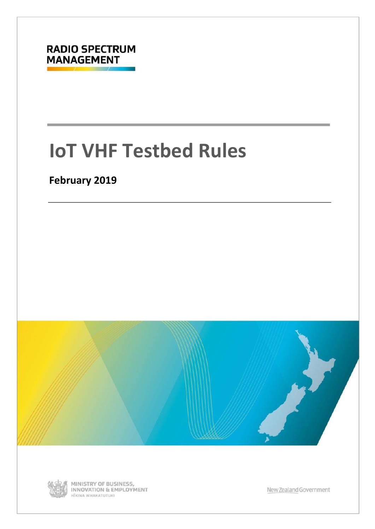

# **IoT VHF Testbed Rules**

## **February 2019**





MINISTRY OF BUSINESS,<br>INNOVATION & EMPLOYMENT HĨKINA WHAKATUTUKI

New Zealand Government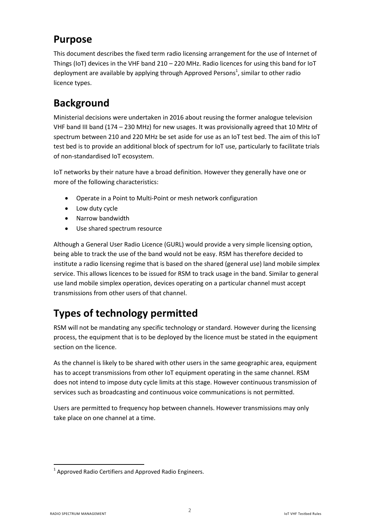### **Purpose**

This document describes the fixed term radio licensing arrangement for the use of Internet of Things (IoT) devices in the VHF band 210 – 220 MHz. Radio licences for using this band for IoT deployment are available by applying through Approved Persons<sup>1</sup>, similar to other radio licence types.

# **Background**

Ministerial decisions were undertaken in 2016 about reusing the former analogue television VHF band III band (174 – 230 MHz) for new usages. It was provisionally agreed that 10 MHz of spectrum between 210 and 220 MHz be set aside for use as an IoT test bed. The aim of this IoT test bed is to provide an additional block of spectrum for IoT use, particularly to facilitate trials of non-standardised IoT ecosystem.

IoT networks by their nature have a broad definition. However they generally have one or more of the following characteristics:

- Operate in a Point to Multi-Point or mesh network configuration
- Low duty cycle
- Narrow bandwidth
- Use shared spectrum resource

Although a General User Radio Licence (GURL) would provide a very simple licensing option, being able to track the use of the band would not be easy. RSM has therefore decided to institute a radio licensing regime that is based on the shared (general use) land mobile simplex service. This allows licences to be issued for RSM to track usage in the band. Similar to general use land mobile simplex operation, devices operating on a particular channel must accept transmissions from other users of that channel.

# **Types of technology permitted**

RSM will not be mandating any specific technology or standard. However during the licensing process, the equipment that is to be deployed by the licence must be stated in the equipment section on the licence.

As the channel is likely to be shared with other users in the same geographic area, equipment has to accept transmissions from other IoT equipment operating in the same channel. RSM does not intend to impose duty cycle limits at this stage. However continuous transmission of services such as broadcasting and continuous voice communications is not permitted.

Users are permitted to frequency hop between channels. However transmissions may only take place on one channel at a time.

**.** 

 $1$  Approved Radio Certifiers and Approved Radio Engineers.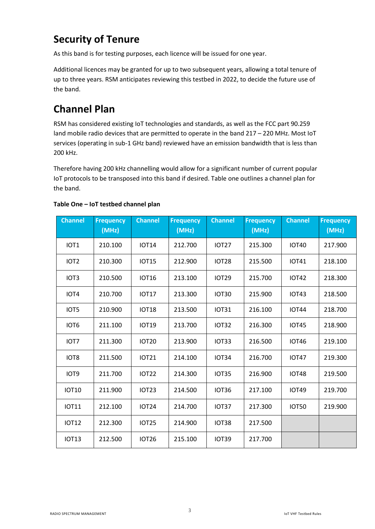# **Security of Tenure**

As this band is for testing purposes, each licence will be issued for one year.

Additional licences may be granted for up to two subsequent years, allowing a total tenure of up to three years. RSM anticipates reviewing this testbed in 2022, to decide the future use of the band.

# **Channel Plan**

RSM has considered existing IoT technologies and standards, as well as the FCC part 90.259 land mobile radio devices that are permitted to operate in the band 217 – 220 MHz. Most IoT services (operating in sub-1 GHz band) reviewed have an emission bandwidth that is less than 200 kHz.

Therefore having 200 kHz channelling would allow for a significant number of current popular IoT protocols to be transposed into this band if desired. Table one outlines a channel plan for the band.

| <b>Channel</b>   | <b>Frequency</b><br>(MHz) | <b>Channel</b> | <b>Frequency</b><br>(MHz) | <b>Channel</b> | <b>Frequency</b><br>(MHz) | <b>Channel</b> | <b>Frequency</b><br>(MHz) |
|------------------|---------------------------|----------------|---------------------------|----------------|---------------------------|----------------|---------------------------|
| IOT <sub>1</sub> | 210.100                   | <b>IOT14</b>   | 212.700                   | <b>IOT27</b>   | 215.300                   | <b>IOT40</b>   | 217.900                   |
| IOT <sub>2</sub> | 210.300                   | <b>IOT15</b>   | 212.900                   | <b>IOT28</b>   | 215.500                   | <b>IOT41</b>   | 218.100                   |
| IOT <sub>3</sub> | 210.500                   | <b>IOT16</b>   | 213.100                   | <b>IOT29</b>   | 215.700                   | <b>IOT42</b>   | 218.300                   |
| IOT4             | 210.700                   | <b>IOT17</b>   | 213.300                   | <b>IOT30</b>   | 215.900                   | <b>IOT43</b>   | 218.500                   |
| IOT5             | 210.900                   | <b>IOT18</b>   | 213.500                   | <b>IOT31</b>   | 216.100                   | <b>IOT44</b>   | 218.700                   |
| IOT6             | 211.100                   | <b>IOT19</b>   | 213.700                   | <b>IOT32</b>   | 216.300                   | <b>IOT45</b>   | 218.900                   |
| IOT7             | 211.300                   | <b>IOT20</b>   | 213.900                   | IOT33          | 216.500                   | <b>IOT46</b>   | 219.100                   |
| IOT8             | 211.500                   | <b>IOT21</b>   | 214.100                   | <b>IOT34</b>   | 216.700                   | <b>IOT47</b>   | 219.300                   |
| IOT9             | 211.700                   | <b>IOT22</b>   | 214.300                   | <b>IOT35</b>   | 216.900                   | <b>IOT48</b>   | 219.500                   |
| <b>IOT10</b>     | 211.900                   | <b>IOT23</b>   | 214.500                   | <b>IOT36</b>   | 217.100                   | <b>IOT49</b>   | 219.700                   |
| <b>IOT11</b>     | 212.100                   | <b>IOT24</b>   | 214.700                   | IOT37          | 217.300                   | <b>IOT50</b>   | 219.900                   |
| <b>IOT12</b>     | 212.300                   | <b>IOT25</b>   | 214.900                   | <b>IOT38</b>   | 217.500                   |                |                           |
| <b>IOT13</b>     | 212.500                   | <b>IOT26</b>   | 215.100                   | <b>IOT39</b>   | 217.700                   |                |                           |

#### **Table One – IoT testbed channel plan**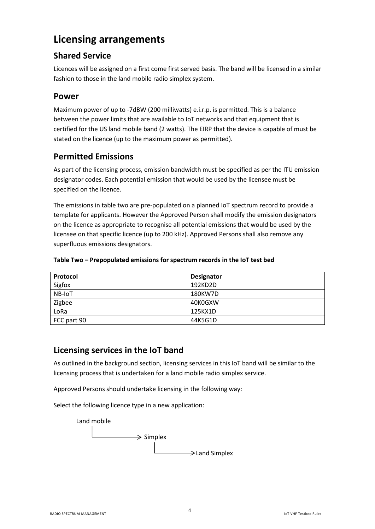### **Licensing arrangements**

### **Shared Service**

Licences will be assigned on a first come first served basis. The band will be licensed in a similar fashion to those in the land mobile radio simplex system.

#### **Power**

Maximum power of up to -7dBW (200 milliwatts) e.i.r.p. is permitted. This is a balance between the power limits that are available to IoT networks and that equipment that is certified for the US land mobile band (2 watts). The EIRP that the device is capable of must be stated on the licence (up to the maximum power as permitted).

#### **Permitted Emissions**

As part of the licensing process, emission bandwidth must be specified as per the ITU emission designator codes. Each potential emission that would be used by the licensee must be specified on the licence.

The emissions in table two are pre-populated on a planned IoT spectrum record to provide a template for applicants. However the Approved Person shall modify the emission designators on the licence as appropriate to recognise all potential emissions that would be used by the licensee on that specific licence (up to 200 kHz). Approved Persons shall also remove any superfluous emissions designators.

| Protocol    | Designator |
|-------------|------------|
| Sigfox      | 192KD2D    |
| NB-IoT      | 180KW7D    |
| Zigbee      | 40K0GXW    |
| LoRa        | 125KX1D    |
| FCC part 90 | 44K5G1D    |

#### **Table Two – Prepopulated emissions for spectrum records in the IoT test bed**

#### **Licensing services in the IoT band**

As outlined in the background section, licensing services in this IoT band will be similar to the licensing process that is undertaken for a land mobile radio simplex service.

Approved Persons should undertake licensing in the following way:

Select the following licence type in a new application: